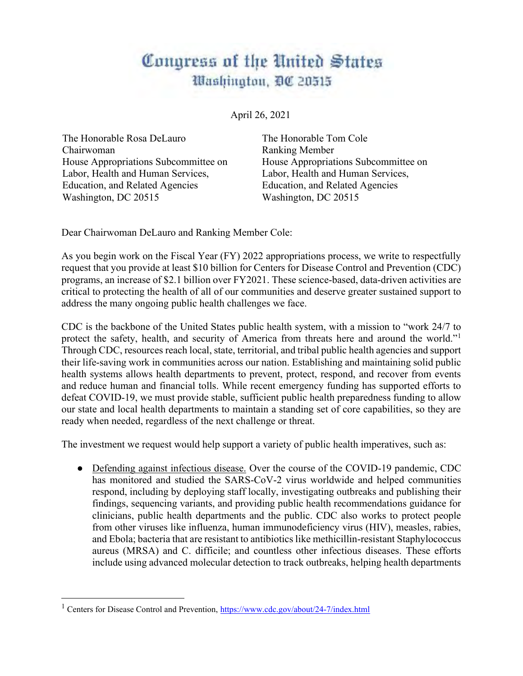## Congress of the United States Washington, DC 20515

April 26, 2021

The Honorable Rosa DeLauro Chairwoman House Appropriations Subcommittee on Labor, Health and Human Services, Education, and Related Agencies Washington, DC 20515

The Honorable Tom Cole Ranking Member House Appropriations Subcommittee on Labor, Health and Human Services, Education, and Related Agencies Washington, DC 20515

Dear Chairwoman DeLauro and Ranking Member Cole:

As you begin work on the Fiscal Year (FY) 2022 appropriations process, we write to respectfully request that you provide at least \$10 billion for Centers for Disease Control and Prevention (CDC) programs, an increase of \$2.1 billion over FY2021. These science-based, data-driven activities are critical to protecting the health of all of our communities and deserve greater sustained support to address the many ongoing public health challenges we face.

CDC is the backbone of the United States public health system, with a mission to "work 24/7 to protect the safety, health, and security of America from threats here and around the world."<sup>1</sup> Through CDC, resources reach local, state, territorial, and tribal public health agencies and support their life-saving work in communities across our nation. Establishing and maintaining solid public health systems allows health departments to prevent, protect, respond, and recover from events and reduce human and financial tolls. While recent emergency funding has supported efforts to defeat COVID-19, we must provide stable, sufficient public health preparedness funding to allow our state and local health departments to maintain a standing set of core capabilities, so they are ready when needed, regardless of the next challenge or threat.

The investment we request would help support a variety of public health imperatives, such as:

• Defending against infectious disease. Over the course of the COVID-19 pandemic, CDC has monitored and studied the SARS-CoV-2 virus worldwide and helped communities respond, including by deploying staff locally, investigating outbreaks and publishing their findings, sequencing variants, and providing public health recommendations guidance for clinicians, public health departments and the public. CDC also works to protect people from other viruses like influenza, human immunodeficiency virus (HIV), measles, rabies, and Ebola; bacteria that are resistant to antibiotics like methicillin-resistant Staphylococcus aureus (MRSA) and C. difficile; and countless other infectious diseases. These efforts include using advanced molecular detection to track outbreaks, helping health departments

<sup>&</sup>lt;sup>1</sup> Centers for Disease Control and Prevention[, https://www.cdc.gov/about/24-7/index.html](https://www.cdc.gov/about/24-7/index.html)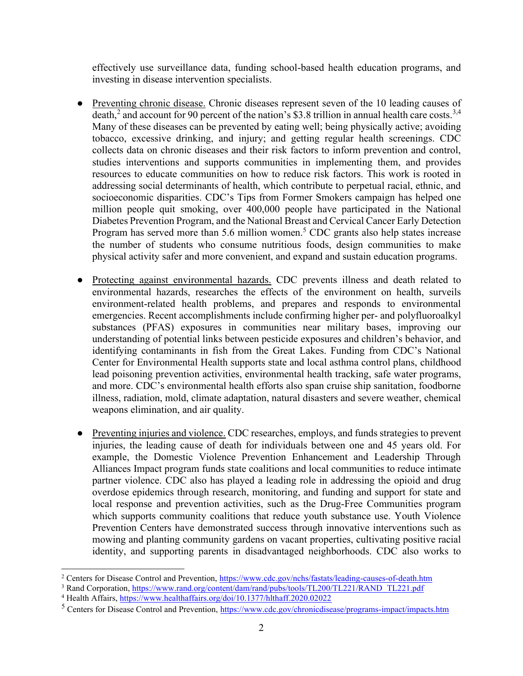effectively use surveillance data, funding school-based health education programs, and investing in disease intervention specialists.

- Preventing chronic disease. Chronic diseases represent seven of the 10 leading causes of death,<sup>2</sup> and account for 90 percent of the nation's \$3.8 trillion in annual health care costs.<sup>3,4</sup> Many of these diseases can be prevented by eating well; being physically active; avoiding tobacco, excessive drinking, and injury; and getting regular health screenings. CDC collects data on chronic diseases and their risk factors to inform prevention and control, studies interventions and supports communities in implementing them, and provides resources to educate communities on how to reduce risk factors. This work is rooted in addressing social determinants of health, which contribute to perpetual racial, ethnic, and socioeconomic disparities. CDC's Tips from Former Smokers campaign has helped one million people quit smoking, over 400,000 people have participated in the National Diabetes Prevention Program, and the National Breast and Cervical Cancer Early Detection Program has served more than 5.6 million women.<sup>5</sup> CDC grants also help states increase the number of students who consume nutritious foods, design communities to make physical activity safer and more convenient, and expand and sustain education programs.
- Protecting against environmental hazards. CDC prevents illness and death related to environmental hazards, researches the effects of the environment on health, surveils environment-related health problems, and prepares and responds to environmental emergencies. Recent accomplishments include confirming higher per- and polyfluoroalkyl substances (PFAS) exposures in communities near military bases, improving our understanding of potential links between pesticide exposures and children's behavior, and identifying contaminants in fish from the Great Lakes. Funding from CDC's National Center for Environmental Health supports state and local asthma control plans, childhood lead poisoning prevention activities, environmental health tracking, safe water programs, and more. CDC's environmental health efforts also span cruise ship sanitation, foodborne illness, radiation, mold, climate adaptation, natural disasters and severe weather, chemical weapons elimination, and air quality.
- Preventing injuries and violence. CDC researches, employs, and funds strategies to prevent injuries, the leading cause of death for individuals between one and 45 years old. For example, the Domestic Violence Prevention Enhancement and Leadership Through Alliances Impact program funds state coalitions and local communities to reduce intimate partner violence. CDC also has played a leading role in addressing the opioid and drug overdose epidemics through research, monitoring, and funding and support for state and local response and prevention activities, such as the Drug-Free Communities program which supports community coalitions that reduce youth substance use. Youth Violence Prevention Centers have demonstrated success through innovative interventions such as mowing and planting community gardens on vacant properties, cultivating positive racial identity, and supporting parents in disadvantaged neighborhoods. CDC also works to

<sup>&</sup>lt;sup>2</sup> Centers for Disease Control and Prevention,<https://www.cdc.gov/nchs/fastats/leading-causes-of-death.htm>

<sup>&</sup>lt;sup>3</sup> Rand Corporation[, https://www.rand.org/content/dam/rand/pubs/tools/TL200/TL221/RAND\\_TL221.pdf](https://www.rand.org/content/dam/rand/pubs/tools/TL200/TL221/RAND_TL221.pdf)

<sup>4</sup> Health Affairs,<https://www.healthaffairs.org/doi/10.1377/hlthaff.2020.02022>

<sup>&</sup>lt;sup>5</sup> Centers for Disease Control and Prevention[, https://www.cdc.gov/chronicdisease/programs-impact/impacts.htm](https://www.cdc.gov/chronicdisease/programs-impact/impacts.htm)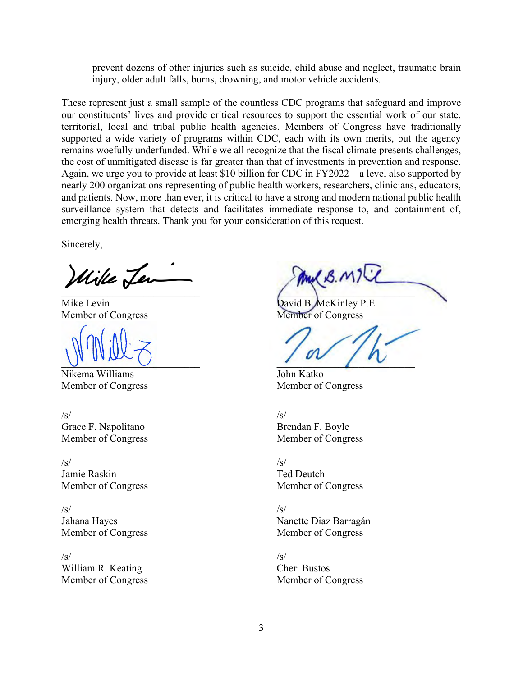prevent dozens of other injuries such as suicide, child abuse and neglect, traumatic brain injury, older adult falls, burns, drowning, and motor vehicle accidents.

These represent just a small sample of the countless CDC programs that safeguard and improve our constituents' lives and provide critical resources to support the essential work of our state, territorial, local and tribal public health agencies. Members of Congress have traditionally supported a wide variety of programs within CDC, each with its own merits, but the agency remains woefully underfunded. While we all recognize that the fiscal climate presents challenges, the cost of unmitigated disease is far greater than that of investments in prevention and response. Again, we urge you to provide at least \$10 billion for CDC in FY2022 – a level also supported by nearly 200 organizations representing of public health workers, researchers, clinicians, educators, and patients. Now, more than ever, it is critical to have a strong and modern national public health surveillance system that detects and facilitates immediate response to, and containment of, emerging health threats. Thank you for your consideration of this request.

Sincerely,

Wike Ler

Member of Congress Member of Congress

Nikema Williams John Katko Member of Congress Member of Congress

 $\sqrt{s}$ Grace F. Napolitano Member of Congress

 $\sqrt{s}$ Jamie Raskin Member of Congress

 $\sqrt{s}$ Jahana Hayes Member of Congress

 $\sqrt{s}$ William R. Keating Member of Congress

And B. M/  $\mathcal{L} \rightarrow \mathcal{L}$ 

Mike Levin David B. McKinley P.E.

 $U_{\bullet}$  and  $U_{\bullet}$ 

 $\sqrt{s}$ Brendan F. Boyle Member of Congress

 $\sqrt{s}$ Ted Deutch Member of Congress

 $\sqrt{s}$ Nanette Diaz Barragán Member of Congress

 $\sqrt{s}$ Cheri Bustos Member of Congress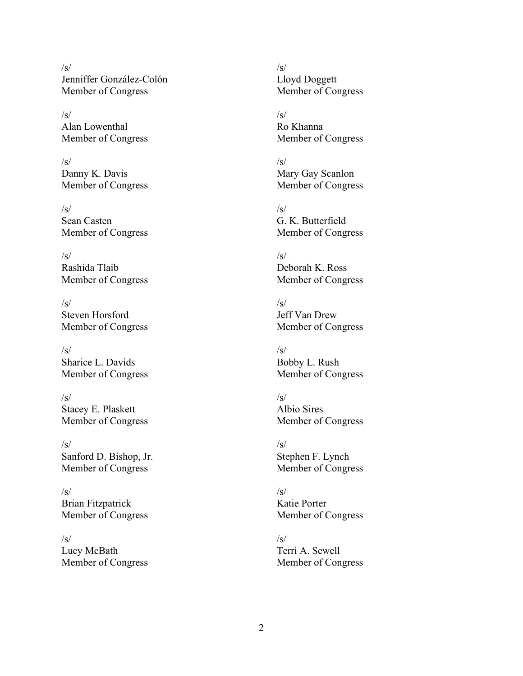$/s/$ Jenniffer González-Colón Member of Congress

/s/ Alan Lowenthal Member of Congress

 $\sqrt{s}$ Danny K. Davis Member of Congress

 $\sqrt{s}$ Sean Casten Member of Congress

 $\sqrt{s}$ Rashida Tlaib Member of Congress

 $\sqrt{s}$ Steven Horsford Member of Congress

/s/ Sharice L. Davids Member of Congress

 $\sqrt{s}$ Stacey E. Plaskett Member of Congress

 $\sqrt{s}$ Sanford D. Bishop, Jr. Member of Congress

 $\sqrt{s}$ Brian Fitzpatrick Member of Congress

 $\sqrt{s}$ Lucy McBath Member of Congress  $\sqrt{s}$ Lloyd Doggett Member of Congress

 $\sqrt{s}$ Ro Khanna Member of Congress

 $\sqrt{s}$ Mary Gay Scanlon Member of Congress

 $\sqrt{s}$ G. K. Butterfield Member of Congress

 $\sqrt{s}$ Deborah K. Ross Member of Congress

 $\sqrt{s}$ Jeff Van Drew Member of Congress

 $\sqrt{s}$ Bobby L. Rush Member of Congress

 $\sqrt{s}$ Albio Sires Member of Congress

 $\sqrt{s}$ Stephen F. Lynch Member of Congress

 $\sqrt{s}$ Katie Porter Member of Congress

 $\sqrt{s}$ Terri A. Sewell Member of Congress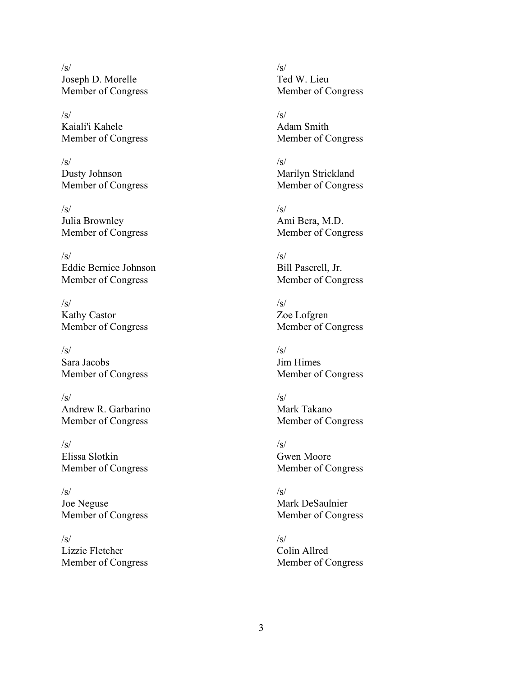$\sqrt{s}$ Joseph D. Morelle Member of Congress

/s/ Kaiali'i Kahele Member of Congress

/s/ Dusty Johnson Member of Congress

 $\sqrt{s}$ Julia Brownley Member of Congress

 $\sqrt{s}$ Eddie Bernice Johnson Member of Congress

 $\sqrt{s}$ Kathy Castor Member of Congress

/s/ Sara Jacobs Member of Congress

 $\sqrt{s}$ Andrew R. Garbarino Member of Congress

 $\sqrt{s}$ Elissa Slotkin Member of Congress

 $\sqrt{s}$ Joe Neguse Member of Congress

 $\sqrt{s}$ Lizzie Fletcher Member of Congress  $/s/$ Ted W. Lieu Member of Congress

 $\sqrt{s}$ Adam Smith Member of Congress

 $\sqrt{s}$ Marilyn Strickland Member of Congress

/s/ Ami Bera, M.D. Member of Congress

 $\sqrt{s}$ Bill Pascrell, Jr. Member of Congress

 $\sqrt{s}$ Zoe Lofgren Member of Congress

 $\sqrt{s}$ Jim Himes Member of Congress

 $\sqrt{s}$ Mark Takano Member of Congress

 $\sqrt{s}$ Gwen Moore Member of Congress

 $\sqrt{s}$ Mark DeSaulnier Member of Congress

 $\sqrt{s}$ Colin Allred Member of Congress